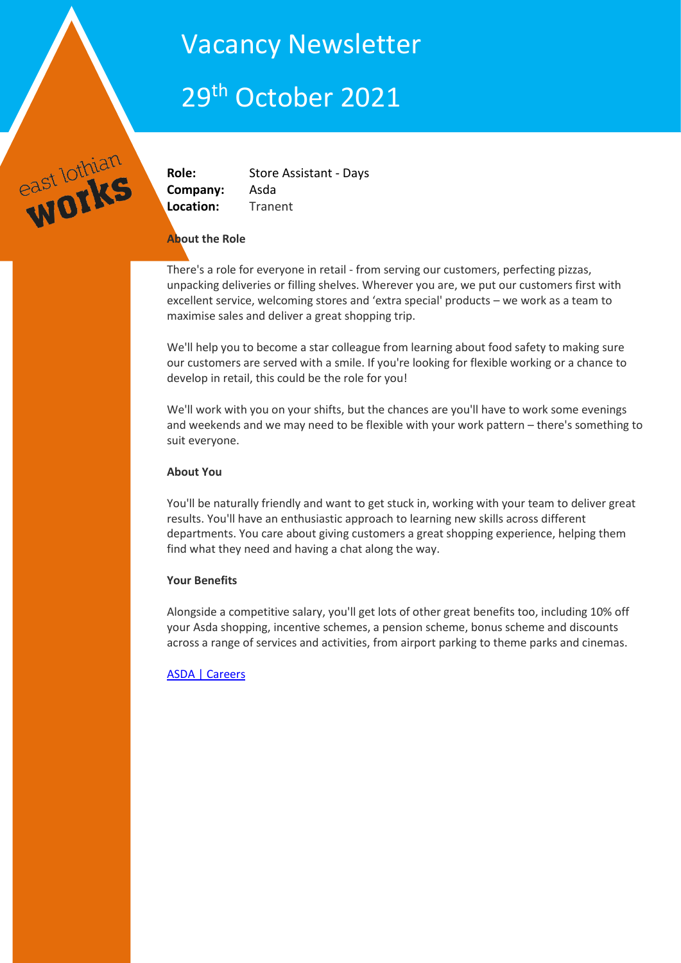## Vacancy Newsletter

# 29th October 2021

east lothian

**Role:** Store Assistant - Days **Company:** Asda **Location:** Tranent

## **About the Role**

There's a role for everyone in retail - from serving our customers, perfecting pizzas, unpacking deliveries or filling shelves. Wherever you are, we put our customers first with excellent service, welcoming stores and 'extra special' products – we work as a team to maximise sales and deliver a great shopping trip.

We'll help you to become a star colleague from learning about food safety to making sure our customers are served with a smile. If you're looking for flexible working or a chance to develop in retail, this could be the role for you!

We'll work with you on your shifts, but the chances are you'll have to work some evenings and weekends and we may need to be flexible with your work pattern – there's something to suit everyone.

## **About You**

You'll be naturally friendly and want to get stuck in, working with your team to deliver great results. You'll have an enthusiastic approach to learning new skills across different departments. You care about giving customers a great shopping experience, helping them find what they need and having a chat along the way.

## **Your Benefits**

Alongside a competitive salary, you'll get lots of other great benefits too, including 10% off your Asda shopping, incentive schemes, a pension scheme, bonus scheme and discounts across a range of services and activities, from airport parking to theme parks and cinemas.

## [ASDA | Careers](https://www.asda.jobs/vacancy/store-assistant---days-31784-tranent/31803/description/?_channelid=48)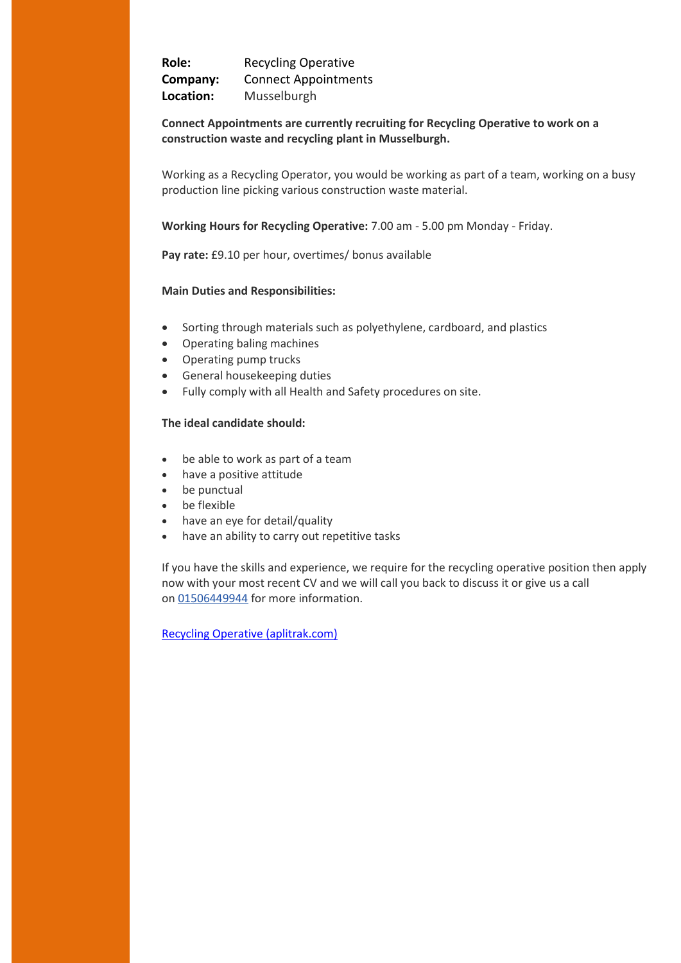**Role:** Recycling Operative **Company:** Connect Appointments **Location:** Musselburgh

### **Connect Appointments are currently recruiting for Recycling Operative to work on a construction waste and recycling plant in Musselburgh.**

Working as a Recycling Operator, you would be working as part of a team, working on a busy production line picking various construction waste material.

**Working Hours for Recycling Operative:** 7.00 am - 5.00 pm Monday - Friday.

**Pay rate:** £9.10 per hour, overtimes/ bonus available

#### **Main Duties and Responsibilities:**

- Sorting through materials such as polyethylene, cardboard, and plastics
- Operating baling machines
- Operating pump trucks
- General housekeeping duties
- Fully comply with all Health and Safety procedures on site.

#### **The ideal candidate should:**

- be able to work as part of a team
- have a positive attitude
- be punctual
- be flexible
- have an eye for detail/quality
- have an ability to carry out repetitive tasks

If you have the skills and experience, we require for the recycling operative position then apply now with your most recent CV and we will call you back to discuss it or give us a call on [01506449944](tel:01506-449944) for more information.

[Recycling Operative \(aplitrak.com\)](https://www.aplitrak.com/?adid=bGIuMDY0NzEuNDcwN0BwZndyZWNydWl0bWVudC5hcGxpdHJhay5jb20)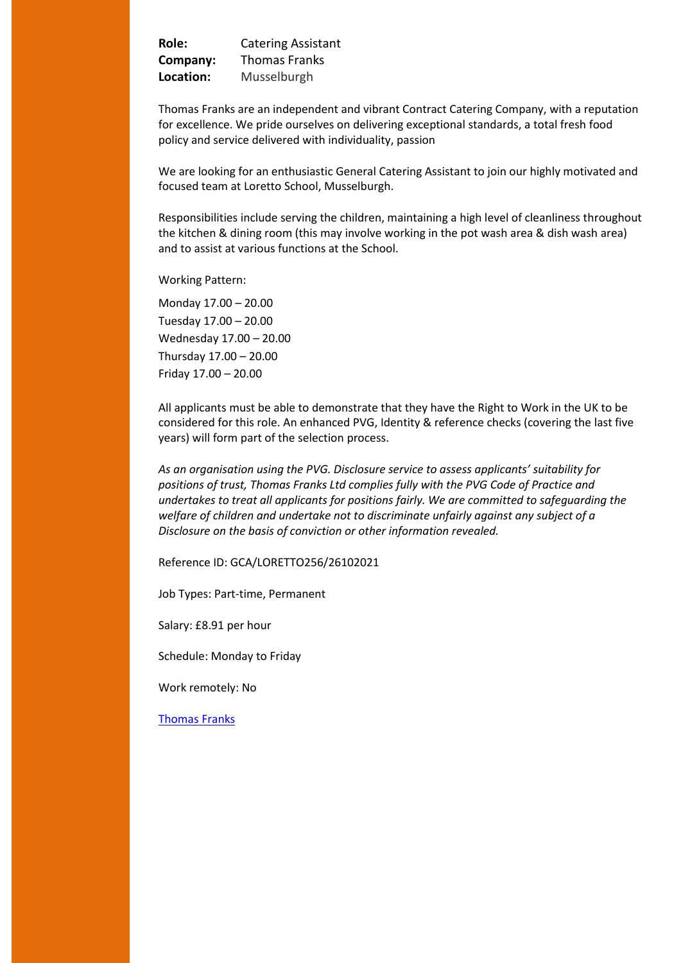**Role:** Catering Assistant **Company:** Thomas Franks **Location:** Musselburgh

Thomas Franks are an independent and vibrant Contract Catering Company, with a reputation for excellence. We pride ourselves on delivering exceptional standards, a total fresh food policy and service delivered with individuality, passion

We are looking for an enthusiastic General Catering Assistant to join our highly motivated and focused team at Loretto School, Musselburgh.

Responsibilities include serving the children, maintaining a high level of cleanliness throughout the kitchen & dining room (this may involve working in the pot wash area & dish wash area) and to assist at various functions at the School.

Working Pattern:

Monday 17.00 – 20.00 Tuesday 17.00 – 20.00 Wednesday 17.00 – 20.00 Thursday 17.00 – 20.00 Friday 17.00 – 20.00

All applicants must be able to demonstrate that they have the Right to Work in the UK to be considered for this role. An enhanced PVG, Identity & reference checks (covering the last five years) will form part of the selection process.

*As an organisation using the PVG. Disclosure service to assess applicants' suitability for positions of trust, Thomas Franks Ltd complies fully with the PVG Code of Practice and undertakes to treat all applicants for positions fairly. We are committed to safeguarding the welfare of children and undertake not to discriminate unfairly against any subject of a Disclosure on the basis of conviction or other information revealed.* 

Reference ID: GCA/LORETTO256/26102021

Job Types: Part-time, Permanent

Salary: £8.91 per hour

Schedule: Monday to Friday

Work remotely: No

[Thomas Franks](https://uk.indeed.com/jobs?l=East%20Lothian&radius=15&fromage=3&start=40&advn=9885237715267758&vjk=b9200b4fefd8a632)